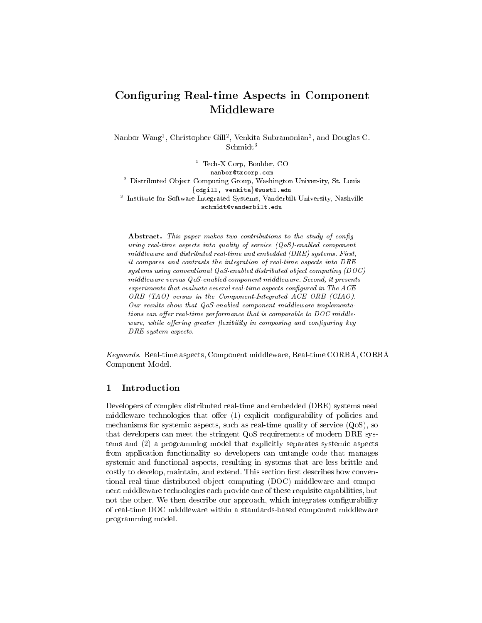# Configuring Real-time Aspects in Component Middleware

Nanbor Wang1 , Christopher Gill2 , Venkita Subramonian<sup>2</sup> , and Douglas C. Schmidt<sup>3</sup>

 $\sim$  1ech- $\Lambda$  Corp, Boulder, CO  $\sim$ nanbor@txcorp.com<sup>2</sup> Distributed Ob ject Computing Group, Washington University, St. Louis {cdgill, venkita}@wustl.edu  $^\circ$  Institute for Software Integrated Systems, Vanderbilt University, Nashville schmidt@vanderbilt.edu

Abstract. This paper makes two contributions to the study of configuring real-time aspects into quality of service  $(QoS)$ -enabled component middleware and distributed real-time and embedded  $(DRE)$  systems. First, it compares and contrasts the integration of real-time aspects into DRE systems using conventional QoS-enabled distributed object computing (DOC) middleware versus QoS-enabled component middleware. Second, it presents experiments that evaluate several real-time aspects configured in The ACE ORB (TAO) versus in the Component-Integrated ACE ORB (CIAO). Our results show that  $QoS$ -enabled component middleware implementations can offer real-time performance that is comparable to  $DOC$  middleware, while offering greater flexibility in composing and configuring key DRE system aspects.

Keywords. Real-time aspects, Component middleware, Real-time CORBA, CORBA Component Model.

#### $\mathbf{1}$ **Introduction**

Developers of complex distributed real-time and embedded (DRE) systems need middleware technologies that offer (1) explicit configurability of policies and mechanisms for systemic aspects, such as real-time quality of service (QoS), so that developers can meet the stringent QoS requirements of modern DRE systems and (2) a programming model that explicitly separates systemic aspects from application functionality so developers can untangle code that manages systemic and functional aspects, resulting in systems that are less brittle and costly to develop, maintain, and extend. This section first describes how conventional real-time distributed ob ject computing (DOC) middleware and component middleware technologies each provide one of these requisite capabilities, but not the other. We then describe our approach, which integrates configurability of real-time DOC middleware within a standards-based component middleware programming model.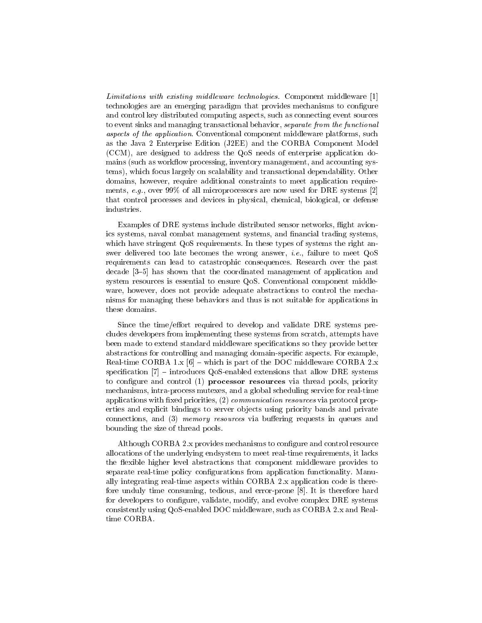Limitations with existing middleware technologies. Component middleware [1] technologies are an emerging paradigm that provides mechanisms to congure and control key distributed computing aspects, such as connecting event sources to event sinks and managing transactional behavior, separate from the functional aspects of the application. Conventional component middleware platforms, such as the Java 2 Enterprise Edition (J2EE) and the CORBA Component Model (CCM), are designed to address the QoS needs of enterprise application domains (such as workflow processing, inventory management, and accounting systems), which focus largely on scalability and transactional dependability. Other domains, however, require additional constraints to meet application requirements, e.g., over 99% of all microprocessors are now used for DRE systems [2] that control processes and devices in physical, chemical, biological, or defense industries.

Examples of DRE systems include distributed sensor networks, flight avionics systems, naval combat management systems, and financial trading systems, which have stringent QoS requirements. In these types of systems the right answer delivered too late becomes the wrong answer, *i.e.*, failure to meet  $Q_0S$ requirements can lead to catastrophic consequences. Research over the past decade [3{5] has shown that the coordinated management of application and system resources is essential to ensure QoS. Conventional component middle ware, however, does not provide adequate abstractions to control the mechanisms for managing these behaviors and thus is not suitable for applications in these domains.

Since the time/effort required to develop and validate  $DRE$  systems precludes developers from implementing these systems from scratch, attempts have been made to extend standard middleware specications so they provide better abstractions for controlling and managing domain-specic aspects. For example, Real-time CORBA 1.x  $[6]$  – which is part of the DOC middleware CORBA 2.x specification  $[7]$  - introduces QoS-enabled extensions that allow DRE systems to configure and control (1) processor resources via thread pools, priority mechanisms, intra-process mutexes, and a global scheduling service for real-time applications with fixed priorities,  $(2)$  *communication resources* via protocol properties and explicit bindings to server objects using priority bands and private connections, and  $(3)$  *memory resources* via buffering requests in queues and bounding the size of thread pools.

Although CORBA 2.x provides mechanisms to congure and control resource allocations of the underlying endsystem to meet real-time requirements, it lacks the flexible higher level abstractions that component middleware provides to separate real-time policy configurations from application functionality. Manually integrating real-time aspects within CORBA 2.x application code is therefore unduly time consuming, tedious, and error-prone [8]. It is therefore hard for developers to configure, validate, modify, and evolve complex DRE systems consistently using QoS-enabled DOC middleware, such as CORBA 2.x and Realtime CORBA.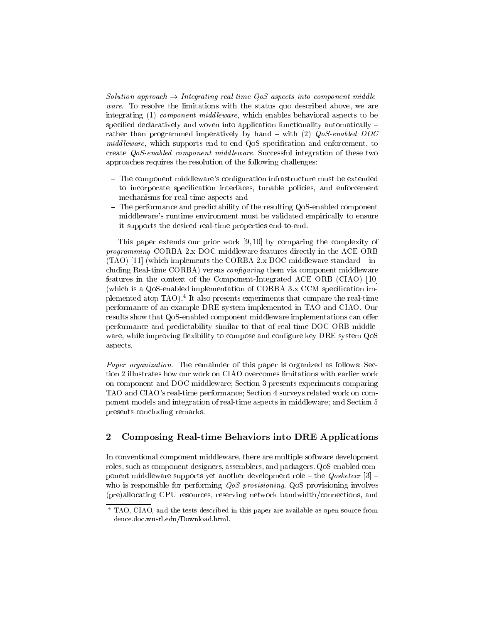Solution approach  $\rightarrow$  Integrating real-time QoS aspects into component middleware. To resolve the limitations with the status quo described above, we are integrating  $(1)$  component middleware, which enables behavioral aspects to be specified declaratively and woven into application functionality automatically  $$ rather than programmed imperatively by hand - with  $(2)$  QoS-enabled DOC middleware, which supports end-to-end QoS specification and enforcement, to create *QoS-enabled component middleware*. Successful integration of these two approaches requires the resolution of the following challenges:

- The component middleware's configuration infrastructure must be extended to incorporate specication interfaces, tunable policies, and enforcement mechanisms for real-time aspects and
- ${\bf -}$  The performance and predictability of the resulting QoS-enabled component middleware's runtime environment must be validated empirically to ensure it supports the desired real-time properties end-to-end.

This paper extends our prior work [9, 10] by comparing the complexity of programming CORBA 2.x DOC middleware features directly in the ACE ORB (TAO) [11] (which implements the CORBA 2.x DOC middleware standard  $-$  including Real-time  $CORBA$ ) versus *configuring* them via component middleware features in the context of the Component-Integrated ACE ORB (CIAO) [10] (which is a QoS-enabled implementation of CORBA 3.x CCM specication implemented atop TAO). It also presents experiments that compare the real-time performance of an example DRE system implemented in TAO and CIAO. Our results show that QoS-enabled component middleware implementations can offer performance and predictability similar to that of real-time DOC ORB middle ware, while improving flexibility to compose and configure key DRE system QoS aspects.

Paper organization. The remainder of this paper is organized as follows: Section 2 illustrates how our work on CIAO overcomes limitations with earlier work on component and DOC middleware; Section 3 presents experiments comparing TAO and CIAO's real-time performance; Section 4 surveys related work on component models and integration of real-time aspects in middleware; and Section 5 presents concluding remarks.

# 2 Composing Real-time Behaviors into DRE Applications

In conventional component middleware, there are multiple software development roles, such as component designers, assemblers, and packagers. QoS-enabled component middleware supports yet another development role  $-$  the  $Qosketeer$  [3]  $$ who is responsible for performing *QoS provisioning*. QoS provisioning involves (pre)allocating CPU resources, reserving network bandwidth/connections, and

<sup>4</sup> TAO, CIAO, and the tests described in this paper are available as open-source from deuce.doc.wustl.edu/Download.html.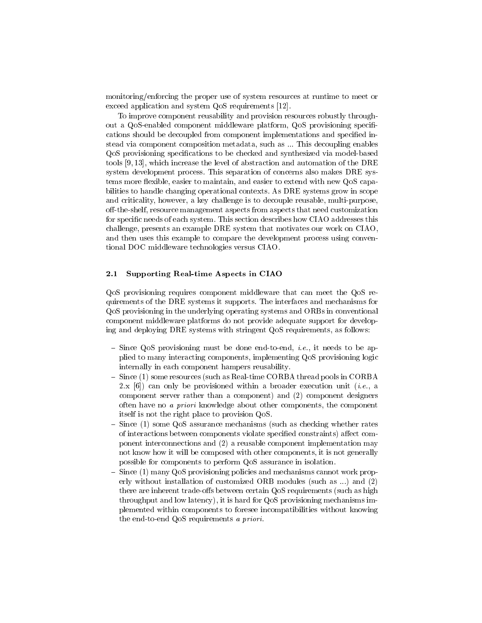monitoring/enforcing the proper use of system resources at runtime to meet or exceed application and system QoS requirements [12].

To improve component reusability and provision resources robustly throughout a QoS-enabled component middleware platform, QoS provisioning specifications should be decoupled from component implementations and specified instead via component composition metadata, such as ... This decoupling enables QoS provisioning specications to be checked and synthesized via model-based tools [9, 13], which increase the level of abstraction and automation of the DRE system development process. This separation of concerns also makes DRE systems more flexible, easier to maintain, and easier to extend with new QoS capabilities to handle changing operational contexts. As DRE systems grow in scope and criticality, however, a key challenge is to decouple reusable, multi-purpose, off-the-shelf, resource management aspects from aspects that need customization for specic needs of each system. This section describes how CIAO addresses this challenge, presents an example DRE system that motivates our work on CIAO, and then uses this example to compare the development process using conventional DOC middleware technologies versus CIAO.

#### 2.1 Supporting Real-time Aspects in CIAO

QoS provisioning requires component middleware that can meet the QoS requirements of the DRE systems it supports. The interfaces and mechanisms for QoS provisioning in the underlying operating systems and ORBs in conventional component middleware platforms do not provide adequate support for developing and deploying DRE systems with stringent QoS requirements, as follows:

- ${\sf Since QoS}$  provisioning must be done end-to-end, *i.e.*, it needs to be applied to many interacting components, implementing QoS provisioning logic internally in each component hampers reusability.
- Since (1) some resources (such as Real-time CORBA thread pools in CORBA  $2 \times 6$ ) can only be provisioned within a broader execution unit (*i.e.*, a component server rather than a component) and (2) component designers often have no a priori knowledge about other components, the component itself is not the right place to provision QoS.
- Since (1) some QoS assurance mechanisms (such as checking whether rates of interactions between components violate specified constraints) affect component interconnections and (2) a reusable component implementation may not know how it will be composed with other components, it is not generally possible for components to perform QoS assurance in isolation.
- ${ -}$  Since (1) many QoS provisioning policies and mechanisms cannot work properly without installation of customized ORB modules (such as ...) and (2) there are inherent trade-offs between certain QoS requirements (such as high throughput and low latency), it is hard for QoS provisioning mechanisms implemented within components to foresee incompatibilities without knowing the end-to-end QoS requirements a priori.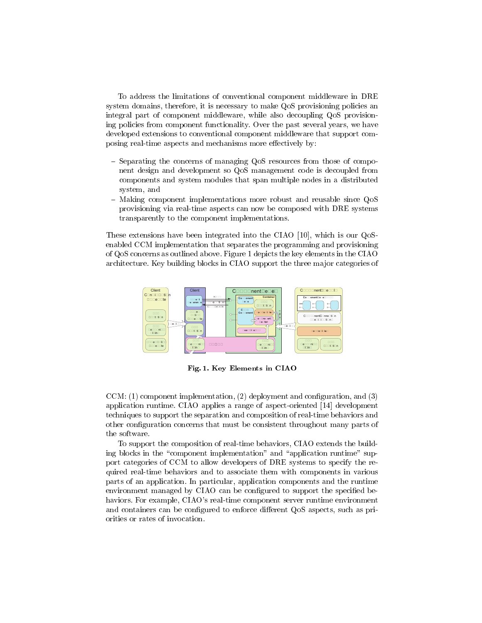To address the limitations of conventional component middleware in DRE system domains, therefore, it is necessary to make QoS provisioning policies an integral part of component middleware, while also decoupling QoS provisioning policies from component functionality. Over the past several years, we have developed extensions to conventional component middleware that support composing real-time aspects and mechanisms more effectively by:

- ${\sim}$  Separating the concerns of managing QoS resources from those of component design and development so QoS management code is decoupled from components and system modules that span multiple nodes in a distributed system, and
- { Making component implementations more robust and reusable since QoS provisioning via real-time aspects can now be composed with DRE systems transparently to the component implementations.

These extensions have been integrated into the CIAO [10], which is our QoSenabled CCM implementation that separates the programming and provisioning of QoS concerns as outlined above. Figure 1 depicts the key elements in the CIAO architecture. Key building blocks in CIAO support the three ma jor categories of



Fig. 1. Key Elements in CIAO

CCM:  $(1)$  component implementation,  $(2)$  deployment and configuration, and  $(3)$ application runtime. CIAO applies a range of aspect-oriented [14] development techniques to support the separation and composition of real-time behaviors and other conguration concerns that must be consistent throughout many parts of the software.

To support the composition of real-time behaviors, CIAO extends the building blocks in the "component implementation" and "application runtime" support categories of CCM to allow developers of DRE systems to specify the required real-time behaviors and to associate them with components in various parts of an application. In particular, application components and the runtime environment managed by CIAO can be configured to support the specified behaviors. For example, CIAO's real-time component server runtime environment and containers can be configured to enforce different QoS aspects, such as priorities or rates of invocation.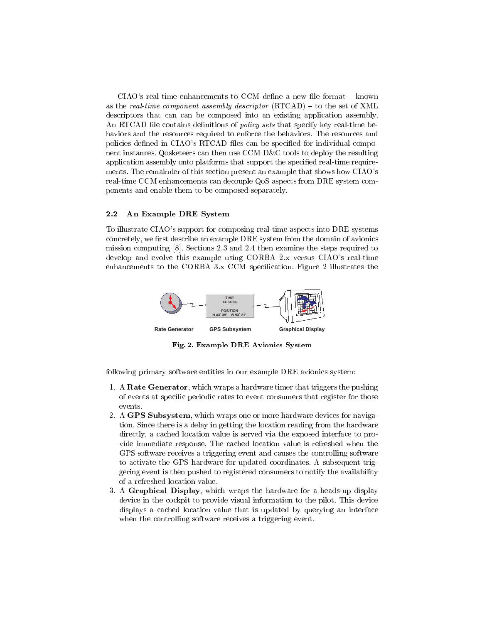$CIAO's$  real-time enhancements to  $CCM$  define a new file format  $-$  known as the real-time component assembly descriptor  $(RTCAD)$  – to the set of XML descriptors that can can be composed into an existing application assembly. An RTCAD file contains definitions of *policy sets* that specify key real-time behaviors and the resources required to enforce the behaviors. The resources and policies defined in CIAO's RTCAD files can be specified for individual component instances. Qosketeers can then use CCM D&C tools to deploy the resulting application assembly onto platforms that support the specified real-time requirements. The remainder of this section present an example that shows how CIAO's real-time CCM enhancements can decouple QoS aspects from DRE system components and enable them to be composed separately.

#### 2.2 An Example DRE System

To illustrate CIAO's support for composing real-time aspects into DRE systems concretely, we first describe an example DRE system from the domain of avionics mission computing [8]. Sections 2.3 and 2.4 then examine the steps required to develop and evolve this example using CORBA 2.x versus CIAO's real-time enhancements to the CORBA 3.x CCM specication. Figure 2 illustrates the



Fig. 2. Example DRE Avionics System

following primary software entities in our example DRE avionics system:

- 1. A Rate Generator, which wraps a hardware timer that triggers the pushing of events at specic periodic rates to event consumers that register for those events.
- 2. A GPS Subsystem, which wraps one or more hardware devices for navigation. Since there is a delay in getting the location reading from the hardware directly, a cached location value is served via the exposed interface to provide immediate response. The cached location value is refreshed when the GPS software receives a triggering event and causes the controlling software to activate the GPS hardware for updated coordinates. A subsequent triggering event is then pushed to registered consumers to notify the availability of a refreshed location value.
- 3. A Graphical Display, which wraps the hardware for a heads-up display device in the cockpit to provide visual information to the pilot. This device displays a cached location value that is updated by querying an interface when the controlling software receives a triggering event.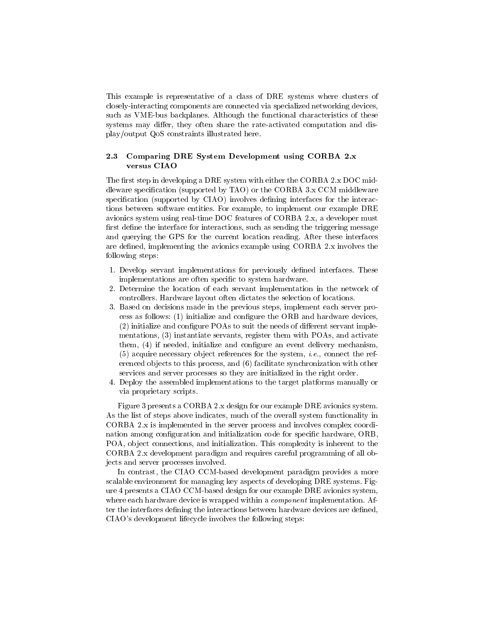This example is representative of a class of DRE systems where clusters of closely-interacting components are connected via specialized networking devices, such as VME-bus backplanes. Although the functional characteristics of these systems may differ, they often share the rate-activated computation and display/output QoS constraints illustrated here.

#### 2.3 Comparing DRE System Development using CORBA 2.x versus CIAO

The first step in developing a DRE system with either the CORBA  $2.x$  DOC middleware specication (supported by TAO) or the CORBA 3.x CCM middleware specification (supported by CIAO) involves defining interfaces for the interactions between software entities. For example, to implement our example DRE avionics system using real-time DOC features of CORBA 2.x, a developer must first define the interface for interactions, such as sending the triggering message and querying the GPS for the current location reading. After these interfaces are defined, implementing the avionics example using CORBA 2.x involves the following steps:

- 1. Develop servant implementations for previously dened interfaces. These implementations are often specific to system hardware.
- 2. Determine the location of each servant implementation in the network of controllers. Hardware layout often dictates the selection of locations.
- 3. Based on decisions made in the previous steps, implement each server process as follows: (1) initialize and congure the ORB and hardware devices,  $(2)$  initialize and configure POAs to suit the needs of different servant implementations, (3) instantiate servants, register them with POAs, and activate them, (4) if needed, initialize and configure an event delivery mechanism, (5) acquire necessary object references for the system, *i.e.*, connect the referenced objects to this process, and (6) facilitate synchronization with other services and server processes so they are initialized in the right order.
- 4. Deploy the assembled implementations to the target platforms manually or via proprietary scripts.

Figure 3 presents a CORBA 2.x design for our example DRE avionics system. As the list of steps above indicates, much of the overall system functionality in CORBA 2.x is implemented in the server process and involves complex coordination among configuration and initialization code for specific hardware, ORB, POA, object connections, and initialization. This complexity is inherent to the CORBA 2.x development paradigm and requires careful programming of all objects and server processes involved.

In contrast, the CIAO CCM-based development paradigm provides a more scalable environment for managing key aspects of developing DRE systems. Figure 4 presents a CIAO CCM-based design for our example DRE avionics system, where each hardware device is wrapped within a *component* implementation. After the interfaces defining the interactions between hardware devices are defined, CIAO's development lifecycle involves the following steps: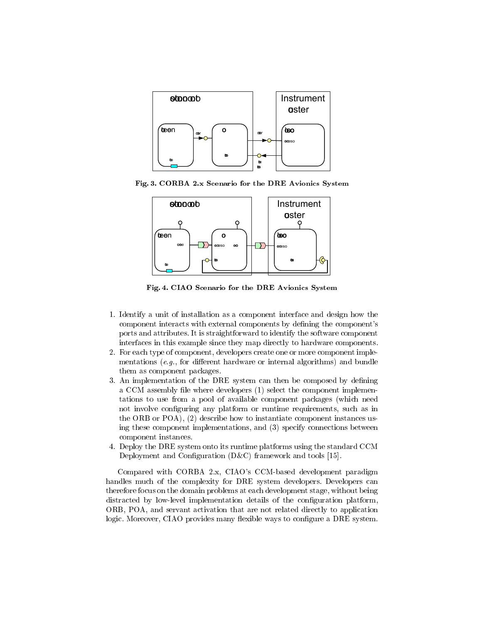

Fig. 3. CORBA 2.x Scenario for the DRE Avionics System



Fig. 4. CIAO Scenario for the DRE Avionics System

- 1. Identify a unit of installation as a component interface and design how the component interacts with external components by defining the component's ports and attributes. It is straightforward to identify the software component interfaces in this example since they map directly to hardware components.
- 2. For each type of component, developers create one or more component implementations  $(e.g., for different hardware or internal algorithms)$  and bundle them as component packages.
- 3. An implementation of the DRE system can then be composed by defining a CCM assembly file where developers (1) select the component implementations to use from a pool of available component packages (which need not involve configuring any platform or runtime requirements, such as in the ORB or POA), (2) describe how to instantiate component instances using these component implementations, and (3) specify connections between component instances.
- 4. Deploy the DRE system onto its runtime platforms using the standard CCM Deployment and Configuration (D&C) framework and tools [15].

Compared with CORBA 2.x, CIAO's CCM-based development paradigm handles much of the complexity for DRE system developers. Developers can therefore focus on the domain problems at each development stage, without being distracted by low-level implementation details of the configuration platform, ORB, POA, and servant activation that are not related directly to application logic. Moreover, CIAO provides many flexible ways to configure a DRE system.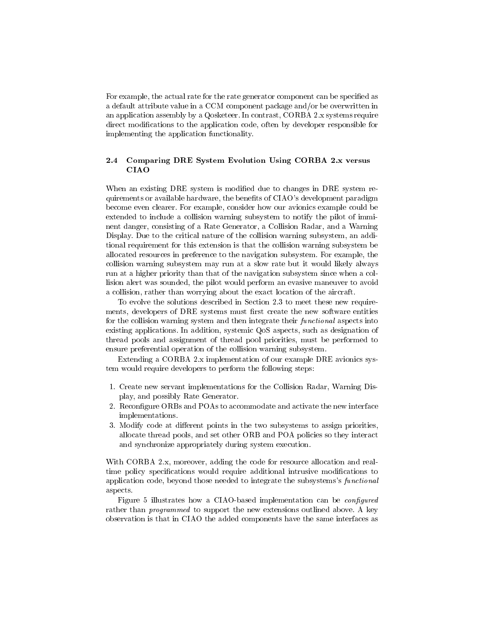For example, the actual rate for the rate generator component can be specified as a default attribute value in a CCM component package and/or be overwritten in an application assembly by a Qosketeer. In contrast, CORBA 2.x systems require direct modications to the application code, often by developer responsible for implementing the application functionality.

## 2.4 Comparing DRE System Evolution Using CORBA 2.x versus CIAO

When an existing DRE system is modified due to changes in DRE system requirements or available hardware, the benefits of CIAO's development paradigm become even clearer. For example, consider how our avionics example could be extended to include a collision warning subsystem to notify the pilot of imminent danger, consisting of a Rate Generator, a Collision Radar, and a Warning Display. Due to the critical nature of the collision warning subsystem, an additional requirement for this extension is that the collision warning subsystem be allocated resources in preference to the navigation subsystem. For example, the collision warning subsystem may run at a slow rate but it would likely always run at a higher priority than that of the navigation subsystem since when a collision alert was sounded, the pilot would perform an evasive maneuver to avoid a collision, rather than worrying about the exact location of the aircraft.

To evolve the solutions described in Section 2.3 to meet these new requirements, developers of DRE systems must first create the new software entities for the collision warning system and then integrate their *functional* aspects into existing applications. In addition, systemic QoS aspects, such as designation of thread pools and assignment of thread pool priorities, must be performed to ensure preferential operation of the collision warning subsystem.

Extending a CORBA 2.x implementation of our example DRE avionics system would require developers to perform the following steps:

- 1. Create new servant implementations for the Collision Radar, Warning Display, and possibly Rate Generator.
- 2. Reconfigure ORBs and POAs to accommodate and activate the new interface implementations.
- 3. Modify code at different points in the two subsystems to assign priorities, allocate thread pools, and set other ORB and POA policies so they interact and synchronize appropriately during system execution.

With CORBA 2.x, moreover, adding the code for resource allocation and realtime policy specifications would require additional intrusive modifications to application code, beyond those needed to integrate the subsystems's functional aspects.

Figure 5 illustrates how a CIAO-based implementation can be *configured* rather than *programmed* to support the new extensions outlined above. A key observation is that in CIAO the added components have the same interfaces as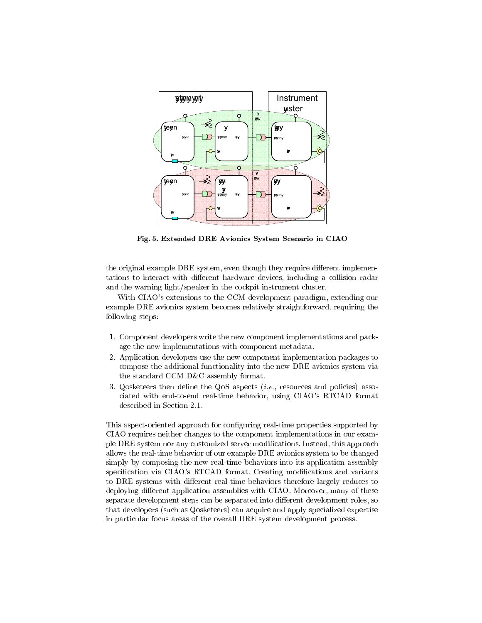

Fig. 5. Extended DRE Avionics System Scenario in CIAO

the original example DRE system, even though they require different implementations to interact with different hardware devices, including a collision radar and the warning light/speaker in the cockpit instrument cluster.

With CIAO's extensions to the CCM development paradigm, extending our example DRE avionics system becomes relatively straightforward, requiring the following steps:

- 1. Component developers write the new component implementations and package the new implementations with component metadata.
- 2. Application developers use the new component implementation packages to compose the additional functionality into the new DRE avionics system via the standard CCM D&C assembly format.
- 3. Qosketeers then define the QoS aspects  $(i.e.,$  resources and policies) associated with end-to-end real-time behavior, using CIAO's RTCAD format described in Section 2.1.

This aspect-oriented approach for configuring real-time properties supported by CIAO requires neither changes to the component implementations in our example DRE system nor any customized server modications. Instead, this approach allows the real-time behavior of our example DRE avionics system to be changed simply by composing the new real-time behaviors into its application assembly specification via CIAO's RTCAD format. Creating modifications and variants to DRE systems with different real-time behaviors therefore largely reduces to deploying different application assemblies with CIAO. Moreover, many of these separate development steps can be separated into different development roles, so that developers (such as Qosketeers) can acquire and apply specialized expertise in particular focus areas of the overall DRE system development process.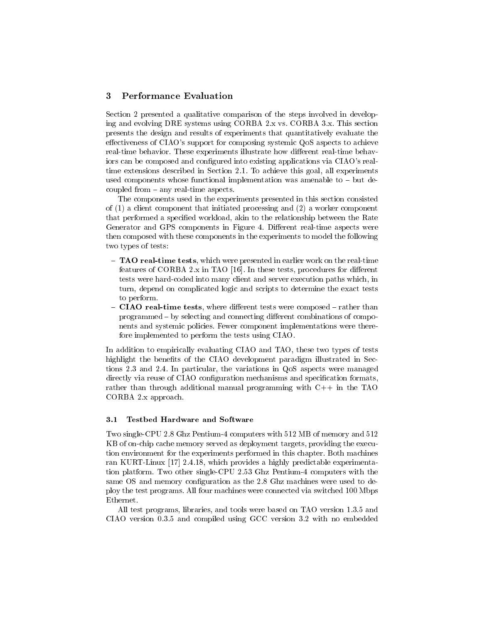# 3 Performance Evaluation

Section 2 presented a qualitative comparison of the steps involved in developing and evolving DRE systems using CORBA 2.x vs. CORBA 3.x. This section presents the design and results of experiments that quantitatively evaluate the effectiveness of CIAO's support for composing systemic  $Q_0S$  aspects to achieve real-time behavior. These experiments illustrate how different real-time behaviors can be composed and configured into existing applications via CIAO's realtime extensions described in Section 2.1. To achieve this goal, all experiments used components whose functional implementation was amenable to  ${\bf -}$  but decoupled from  $-$  any real-time aspects.

The components used in the experiments presented in this section consisted of (1) a client component that initiated processing and (2) a worker component that performed a specied workload, akin to the relationship between the Rate Generator and GPS components in Figure 4. Different real-time aspects were then composed with these components in the experiments to model the following two types of tests:

- **TAO real-time tests**, which were presented in earlier work on the real-time features of CORBA  $2.x$  in TAO [16]. In these tests, procedures for different tests were hard-coded into many client and server execution paths which, in turn, depend on complicated logic and scripts to determine the exact tests to perform.
- **CIAO real-time tests,** where different tests were composed rather than programmed  $-$  by selecting and connecting different combinations of components and systemic policies. Fewer component implementations were therefore implemented to perform the tests using CIAO.

In addition to empirically evaluating CIAO and TAO, these two types of tests highlight the benefits of the CIAO development paradigm illustrated in Sections 2.3 and 2.4.In particular, the variations in QoS aspects were managed directly via reuse of CIAO configuration mechanisms and specification formats, rather than through additional manual programming with C++ in the TAO CORBA 2.x approach.

# 3.1 Testbed Hardware and Software

Two single-CPU 2.8 Ghz Pentium-4 computers with 512 MB of memory and 512 KB of on-chip cache memory served as deployment targets, providing the execution environment for the experiments performed in this chapter. Both machines ran KURT-Linux [17] 2.4.18, which provides a highly predictable experimentation platform. Two other single-CPU 2.53 Ghz Pentium-4 computers with the same OS and memory configuration as the 2.8 Ghz machines were used to deploy the test programs. All four machines were connected via switched 100 Mbps Ethernet.

All test programs, libraries, and tools were based on TAO version 1.3.5 and CIAO version 0.3.5 and compiled using GCC version 3.2 with no embedded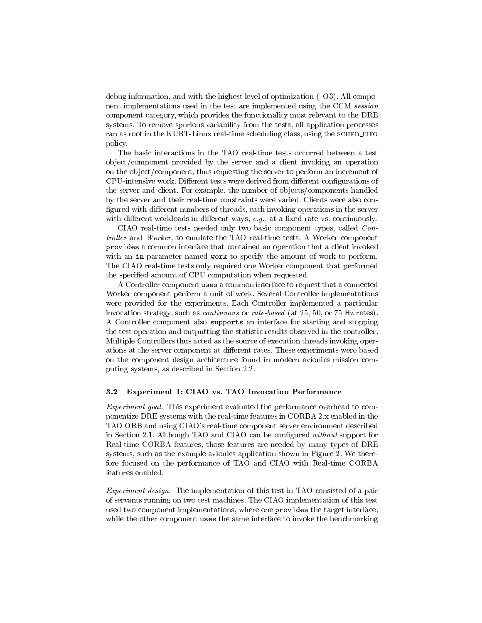debug information, and with the highest level of optimization  $(-03)$ . All component implementations used in the test are implemented using the CCM session component category, which provides the functionality most relevant to the DRE systems. To remove spurious variability from the tests, all application processes ran as root in the KURT-Linux real-time scheduling class, using the SCHED FIFO policy.

The basic interactions in the TAO real-time tests occurred between a test ob ject/component provided by the server and a client invoking an operation on the ob ject/component, thus requesting the server to perform an increment of CPU-intensive work. Different tests were derived from different configurations of the server and client. For example, the number of objects/components handled by the server and their real-time constraints were varied. Clients were also con figured with different numbers of threads, each invoking operations in the server with different workloads in different ways,  $e.g.,$  at a fixed rate vs. continuously.

CIAO real-time tests needed only two basic component types, called Con $troller$  and  $Worker$ , to emulate the TAO real-time tests. A Worker component provides a common interface that contained an operation that a client invoked with an in parameter named work to specify the amount of work to perform. The CIAO real-time tests only required one Worker component that performed the specied amount of CPU computation when requested.

A Controller component uses a common interface to request that a connected Worker component perform a unit of work. Several Controller implementations were provided for the experiments. Each Controller implemented a particular invocation strategy, such as *continuous* or *rate-based* (at 25, 50, or 75 Hz rates). A Controller component also supports an interface for starting and stopping the test operation and outputting the statistic results observed in the controller. Multiple Controllers thus acted as the source of execution threads invoking operations at the server component at different rates. These experiments were based on the component design architecture found in modern avionics mission computing systems, as described in Section 2.2.

#### 3.2 Experiment 1: CIAO vs. TAO Invocation Performance

Experiment goal. This experiment evaluated the performance overhead to componentize DRE systems with the real-time features in CORBA 2.x enabled in the TAO ORB and using CIAO's real-time component server environment described in Section 2.1. Although TAO and CIAO can be configured without support for Real-time CORBA features, those features are needed by many types of DRE systems, such as the example avionics application shown in Figure 2. We therefore focused on the performance of TAO and CIAO with Real-time CORBA features enabled.

Experiment design. The implementation of this test in TAO consisted of a pair of servants running on two test machines. The CIAO implementation of this test used two component implementations, where one provides the target interface, while the other component uses the same interface to invoke the benchmarking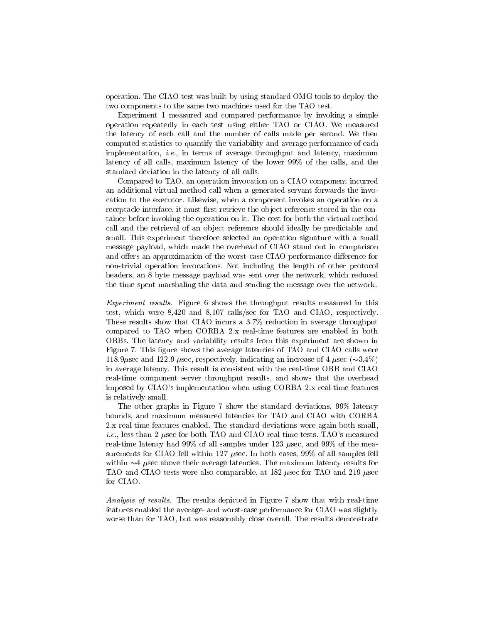operation. The CIAO test was built by using standard OMG tools to deploy the two components to the same two machines used for the TAO test.

Experiment 1 measured and compared performance by invoking a simple operation repeatedly in each test using either TAO or CIAO. We measured the latency of each call and the number of calls made per second. We then computed statistics to quantify the variability and average performance of each implementation, *i.e.*, in terms of average throughput and latency, maximum latency of all calls, maximum latency of the lower 99% of the calls, and the standard deviation in the latency of all calls.

Compared to TAO, an operation invocation on a CIAO component incurred an additional virtual method call when a generated servant forwards the invocation to the executor. Likewise, when a component invokes an operation on a receptacle interface, it must first retrieve the object reference stored in the container before invoking the operation on it. The cost for both the virtual method call and the retrieval of an object reference should ideally be predictable and small. This experiment therefore selected an operation signature with a small message payload, which made the overhead of CIAO stand out in comparison and offers an approximation of the worst-case CIAO performance difference for non-trivial operation invocations. Not including the length of other protocol headers, an 8 byte message payload was sent over the network, which reduced the time spent marshaling the data and sending the message over the network.

Experiment results. Figure 6 shows the throughput results measured in this test, which were 8,420 and 8,107 calls/sec for TAO and CIAO, respectively. These results show that CIAO incurs a 3.7% reduction in average throughput compared to TAO when CORBA 2.x real-time features are enabled in both ORBs. The latency and variability results from this experiment are shown in Figure 7. This figure shows the average latencies of TAO and CIAO calls were 118.9 usec and 122.9 usec, respectively, indicating an increase of 4 usec ( $\sim$ 3.4%) in average latency. This result is consistent with the real-time ORB and CIAO real-time component server throughput results, and shows that the overhead imposed by CIAO's implementation when using CORBA 2.x real-time features is relatively small.

The other graphs in Figure 7 show the standard deviations, 99% latency bounds, and maximum measured latencies for TAO and CIAO with CORBA 2.x real-time features enabled. The standard deviations were again both small, *i.e.*, less than 2  $\mu$ sec for both TAO and CIAO real-time tests. TAO's measured real-time latency had 99% of all samples under 123  $\mu$ sec, and 99% of the measurements for CIAO fell within 127  $\mu$ sec. In both cases, 99% of all samples fell within  $\sim$ 4 usec above their average latencies. The maximum latency results for TAO and CIAO tests were also comparable, at 182  $\mu$ sec for TAO and 219  $\mu$ sec for CIAO.

Analysis of results. The results depicted in Figure 7 show that with real-time features enabled the average- and worst-case performance for CIAO was slightly worse than for TAO, but was reasonably close overall. The results demonstrate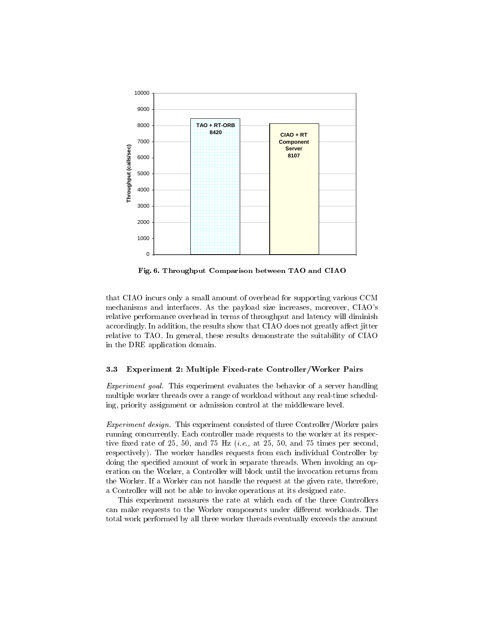

Fig. 6. Throughput Comparison between TAO and CIAO

that CIAO incurs only a small amount of overhead for supporting various CCM mechanisms and interfaces. As the payload size increases, moreover, CIAO's relative performance overhead in terms of throughput and latency will diminish accordingly. In addition, the results show that CIAO does not greatly affect jitter relative to TAO. In general, these results demonstrate the suitability of CIAO in the DRE application domain.

#### 3.3 Experiment 2: Multiple Fixed-rate Controller/Worker Pairs

Experiment goal. This experiment evaluates the behavior of a server handling multiple worker threads over a range of workload without any real-time scheduling, priority assignment or admission control at the middleware level.

Experiment design. This experiment consisted of three Controller/Worker pairs running concurrently. Each controller made requests to the worker at its respective fixed rate of 25, 50, and 75 Hz  $(i.e., at 25, 50, and 75 times per second,$ respectively). The worker handles requests from each individual Controller by doing the specified amount of work in separate threads. When invoking an operation on the Worker, a Controller will block until the invocation returns from the Worker. If a Worker can not handle the request at the given rate, therefore, a Controller will not be able to invoke operations at its designed rate.

This experiment measures the rate at which each of the three Controllers can make requests to the Worker components under different workloads. The total work performed by all three worker threads eventually exceeds the amount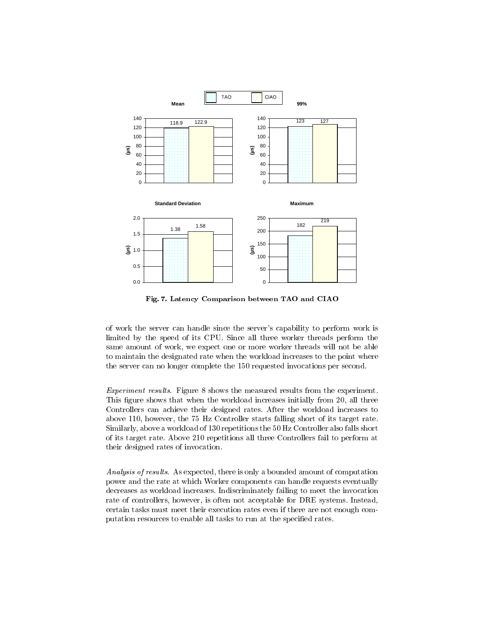

Fig. 7. Latency Comparison between TAO and CIAO

of work the server can handle since the server's capability to perform work is limited by the speed of its CPU. Since all three worker threads perform the same amount of work, we expect one or more worker threads will not be able to maintain the designated rate when the workload increases to the point where the server can no longer complete the 150 requested invocations per second.

Experiment results. Figure 8 shows the measured results from the experiment. This figure shows that when the workload increases initially from 20, all three Controllers can achieve their designed rates. After the workload increases to above 110, however, the 75 Hz Controller starts falling short of its target rate. Similarly, aboveaworkload of 130 repetitions the 50 Hz Controller also falls short of its target rate. Above 210 repetitions all three Controllers fail to perform at their designed rates of invocation.

Analysis of results. As expected, there is only a bounded amount of computation power and the rate at which Worker components can handle requests eventually decreases as workload increases. Indiscriminately failing to meet the invocation rate of controllers, however, is often not acceptable for DRE systems. Instead, certain tasks must meet their execution rates even if there are not enough computation resources to enable all tasks to run at the specied rates.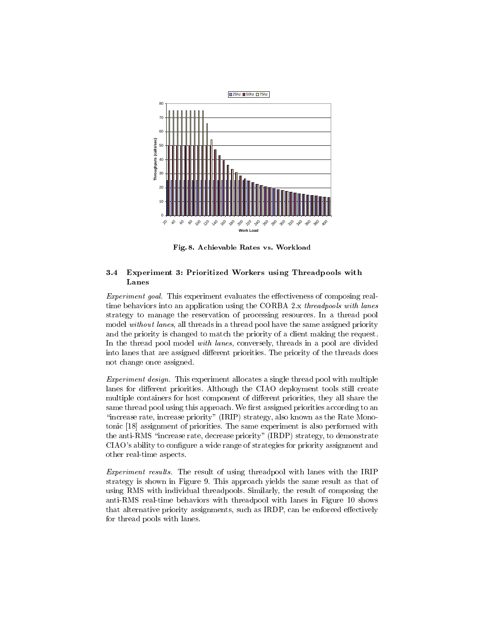

Fig. 8. Achievable Rates vs. Workload

#### 3.4 Experiment 3: Prioritized Workers using Threadpools with Lanes

Experiment goal. This experiment evaluates the effectiveness of composing realtime behaviors into an application using the CORBA 2.x threadpools with lanes strategy to manage the reservation of processing resources. In a thread pool model without lanes, all threads in a thread pool have the same assigned priority and the priority is changed to match the priority of a client making the request. In the thread pool model with lanes, conversely, threads in a pool are divided into lanes that are assigned different priorities. The priority of the threads does not change once assigned.

Experiment design. This experiment allocates a single thread pool with multiple lanes for different priorities. Although the CIAO deployment tools still create multiple containers for host component of different priorities, they all share the same thread pool using this approach. We first assigned priorities according to an "increase rate, increase priority" (IRIP) strategy, also known as the Rate Monotonic [18] assignment of priorities. The same experiment is also performed with the anti-RMS "increase rate, decrease priority" (IRDP) strategy, to demonstrate CIAO's ability to configure a wide range of strategies for priority assignment and other real-time aspects.

Experiment results. The result of using threadpool with lanes with the IRIP strategy is shown in Figure 9. This approach yields the same result as that of using RMS with individual threadpools. Similarly, the result of composing the anti-RMS real-time behaviors with threadpool with lanes in Figure 10 shows that alternative priority assignments, such as IRDP, can be enforced effectively for thread pools with lanes.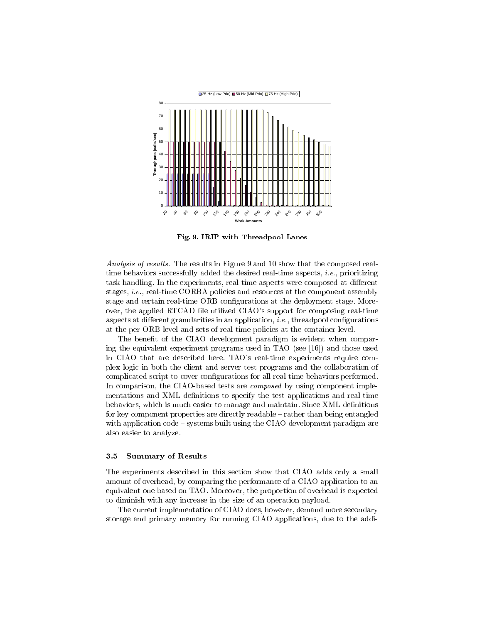

Fig. 9. IRIP with Threadpool Lanes

Analysis of results. The results in Figure 9 and 10 show that the composed realtime behaviors successfully added the desired real-time aspects, *i.e.*, prioritizing task handling. In the experiments, real-time aspects were composed at different stages, i.e., real-time CORBA policies and resources at the component assembly stage and certain real-time ORB configurations at the deployment stage. Moreover, the applied RTCAD file utilized CIAO's support for composing real-time aspects at different granularities in an application,  $i.e.,$  threadpool configurations at the per-ORB level and sets of real-time policies at the container level.

The benefit of the CIAO development paradigm is evident when comparing the equivalent experiment programs used in TAO (see [16]) and those used in CIAO that are described here. TAO's real-time experiments require complex logic in both the client and server test programs and the collaboration of complicated script to cover congurations for all real-time behaviors performed. In comparison, the CIAO-based tests are *composed* by using component implementations and XML definitions to specify the test applications and real-time behaviors, which is much easier to manage and maintain. Since XML definitions for key component properties are directly readable – rather than being entangled with application code - systems built using the CIAO development paradigm are also easier to analyze.

#### 3.5 Summary of Results

The experiments described in this section show that CIAO adds only a small amount of overhead, by comparing the performance of a CIAO application to an equivalent one based on TAO. Moreover, the proportion of overhead is expected to diminish with any increase in the size of an operation payload.

The current implementation of CIAO does, however, demand more secondary storage and primary memory for running CIAO applications, due to the addi-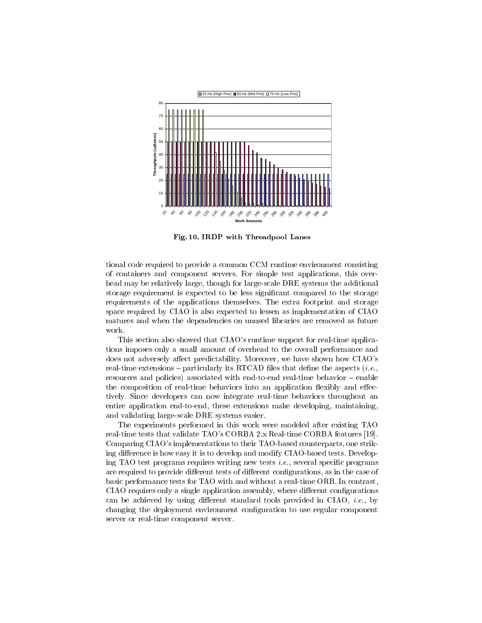

Fig. 10. IRDP with Threadpool Lanes

tional code required to provide a common CCM runtime environment consisting of containers and component servers. For simple test applications, this overhead may be relatively large, though for large-scale DRE systems the additional storage requirement is expected to be less signicant compared to the storage requirements of the applications themselves. The extra footprint and storage space required by CIAO is also expected to lessen as implementation of CIAO matures and when the dependencies on unused libraries are removed as future work.

This section also showed that CIAO's runtime support for real-time applications imposes only a small amount of overhead to the overall performance and does not adversely affect predictability. Moreover, we have shown how CIAO's real-time extensions  $-$  particularly its RTCAD files that define the aspects (*i.e.*, resources and policies) associated with end-to-end real-time behavior  $-$  enable the composition of real-time behaviors into an application flexibly and effectively. Since developers can now integrate real-time behaviors throughout an entire application end-to-end, these extensions make developing, maintaining, and validating large-scale DRE systems easier.

The experiments performed in this work were modeled after existing TAO real-time tests that validate TAO's CORBA 2.x Real-time CORBA features [19]. Comparing CIAO's implementations to their TAO-based counterparts, one striking difference is how easy it is to develop and modify CIAO-based tests. Developing TAO test programs requires writing new tests *i.e.*, several specific programs are required to provide different tests of different configurations, as in the case of basic performance tests for TAO with and without a real-time ORB. In contrast, CIAO requires only a single application assembly, where different configurations can be achieved by using different standard tools provided in CIAO, *i.e.*, by changing the deployment environment configuration to use regular component server or real-time component server.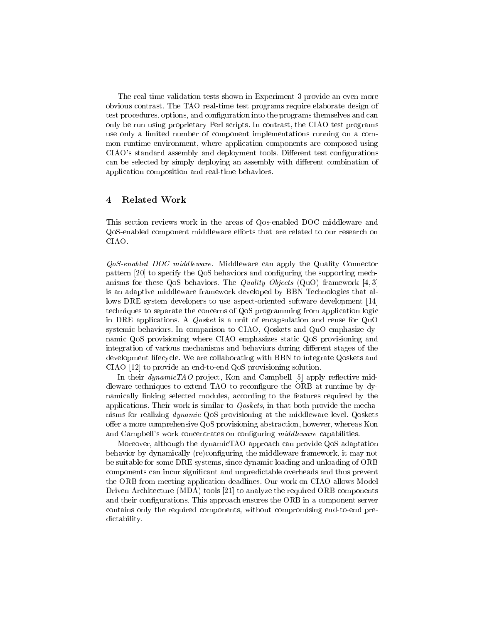The real-time validation tests shown in Experiment 3 provide an even more obvious contrast. The TAO real-time test programs require elaborate design of test procedures, options, and conguration into the programs themselves and can only be run using proprietary Perl scripts. In contrast, the CIAO test programs use only a limited number of component implementations running on a common runtime environment, where application components are composed using CIAO's standard assembly and deployment tools. Different test configurations can be selected by simply deploying an assembly with different combination of application composition and real-time behaviors.

## 4 Related Work

This section reviews work in the areas of Qos-enabled DOC middleware and QoS-enabled component middleware efforts that are related to our research on CIAO.

QoS-enabled DOC middleware. Middleware can apply the Quality Connector pattern [20] to specify the QoS behaviors and configuring the supporting mechanisms for these QoS behaviors. The *Quality Objects* (QuO) framework [4, 3] is an adaptive middleware framework developed by BBN Technologies that allows DRE system developers to use aspect-oriented software development [14] techniques to separate the concerns of QoS programming from application logic in DRE applications. A Qosket is a unit of encapsulation and reuse for QuO systemic behaviors. In comparison to CIAO, Qoskets and QuO emphasize dynamic QoS provisioning where CIAO emphasizes static QoS provisioning and integration of various mechanisms and behaviors during different stages of the development lifecycle. We are collaborating with BBN to integrate Qoskets and CIAO [12] to provide an end-to-end QoS provisioning solution.

In their  $dynamicTAO$  project, Kon and Campbell [5] apply reflective middleware techniques to extend TAO to recongure the ORB at runtime by dynamically linking selected modules, according to the features required by the applications. Their work is similar to Qoskets, in that both provide the mechanisms for realizing dynamic QoS provisioning at the middleware level. Qoskets offer a more comprehensive QoS provisioning abstraction, however, whereas Kon and Campbell's work concentrates on configuring *middleware* capabilities.

Moreover, although the dynamicTAO approach can provide QoS adaptation behavior by dynamically (re)conguring the middleware framework, it may not be suitable for some DRE systems, since dynamic loading and unloading of ORB components can incur signicant and unpredictable overheads and thus prevent the ORB from meeting application deadlines. Our work on CIAO allows Model Driven Architecture (MDA) tools [21] to analyze the required ORB components and their configurations. This approach ensures the ORB in a component server contains only the required components, without compromising end-to-end predictability.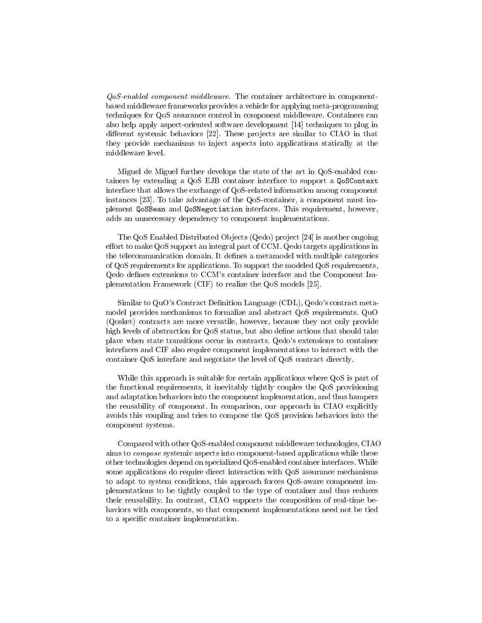$QoS$ -enabled component middleware. The container architecture in componentbased middleware frameworks provides a vehicle for applying meta-programming techniques for QoS assurance control in component middleware. Containers can also help apply aspect-oriented software development [14] techniques to plug in different systemic behaviors [22]. These projects are similar to CIAO in that they provide mechanisms to inject aspects into applications statically at the middleware level.

Miguel de Miguel further develops the state of the art in QoS-enabled containers by extending a QoS EJB container interface to support a QoSContext interface that allows the exchange of QoS-related information among component instances [23]. To take advantage of the QoS-container, a component must implement QoSBean and QoSNegotiation interfaces. This requirement, however, adds an unnecessary dependency to component implementations.

The QoS Enabled Distributed Objects (Qedo) project [24] is another ongoing effort to make QoS support an integral part of CCM. Qedo targets applications in the telecommunication domain. It defines a metamodel with multiple categories of QoS requirements for applications. To support the modeled QoS requirements, Qedo defines extensions to CCM's container interface and the Component Implementation Framework (CIF) to realize the QoS models [25].

Similar to QuO's Contract Definition Language (CDL), Qedo's contract metamodel provides mechanisms to formalize and abstract QoS requirements. QuO (Qosket) contracts are more versatile, however, because they not only provide high levels of abstraction for QoS status, but also define actions that should take place when state transitions occur in contracts. Qedo's extensions to container interfaces and CIF also require component implementations to interact with the container QoS interface and negotiate the level of QoS contract directly.

While this approach is suitable for certain applications where QoS is part of the functional requirements, it inevitably tightly couples the QoS provisioning and adaptation behaviors into the component implementation, and thus hampers the reusability of component. In comparison, our approach in CIAO explicitly avoids this coupling and tries to compose the QoS provision behaviors into the component systems.

Compared with other QoS-enabled component middleware technologies, CIAO aims to compose systemic aspects into component-based applications while these other technologies depend on specialized QoS-enabled container interfaces. While some applications do require direct interaction with QoS assurance mechanisms to adapt to system conditions, this approach forces QoS-aware component implementations to be tightly coupled to the type of container and thus reduces their reusability. In contrast, CIAO supports the composition of real-time behaviors with components, so that component implementations need not be tied to a specic container implementation.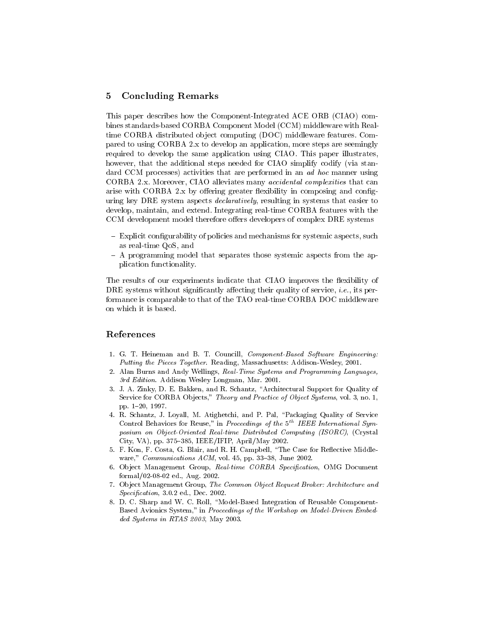# 5 Concluding Remarks

This paper describes how the Component-Integrated ACE ORB (CIAO) combines standards-based CORBA Component Model (CCM) middleware with Realtime CORBA distributed ob ject computing (DOC) middleware features. Compared to using CORBA 2.x to develop an application, more steps are seemingly required to develop the same application using CIAO. This paper illustrates, however, that the additional steps needed for CIAO simplify codify (via standard CCM processes) activities that are performed in an *ad hoc* manner using CORBA 2.x. Moreover, CIAO alleviates many accidental complexities that can arise with CORBA  $2.x$  by offering greater flexibility in composing and configuring key DRE system aspects *declaratively*, resulting in systems that easier to develop, maintain, and extend. Integrating real-time CORBA features with the CCM development model therefore offers developers of complex DRE systems

- ${\sf E}$  Explicit configurability of policies and mechanisms for systemic aspects, such as real-time QoS, and
- A programming model that separates those systemic aspects from the application functionality.

The results of our experiments indicate that CIAO improves the flexibility of DRE systems without significantly affecting their quality of service, *i.e.*, its performance is comparable to that of the TAO real-time CORBA DOC middleware

# References

- 1. G. T. Heineman and B. T. Councill, Component-Based Software Engineering: Putting the Pieces Together. Reading, Massachusetts: Addison-Wesley, 2001.
- 2. Alan Burns and Andy Wellings, Real-Time Systems and Programming Languages, 3rd Edition. Addison Wesley Longman, Mar. 2001.
- 3. J. A. Zinky, D. E. Bakken, and R. Schantz, "Architectural Support for Quality of Service for CORBA Objects," Theory and Practice of Object Systems, vol. 3, no. 1, pp. 1-20, 1997.
- 4. R. Schantz, J. Loyall, M. Atighetchi, and P. Pal, \Packaging Quality of Service Control Behaviors for Reuse," in Proceedings of the 5" TEEE International Symposium on Object-Oriented Real-time Distributed Computing (ISORC), (Crystal City, VA), pp. 375-385, IEEE/IFIP, April/May 2002.
- 5. F. Kon, F. Costa, G. Blair, and R. H. Campbell, "The Case for Reflective Middleware,"  $Communications$   $ACM$ , vol. 45, pp. 33-38, June 2002.
- 6. Object Management Group, Real-time CORBA Specification, OMG Document formal/02-08-02 ed., Aug. 2002.
- 7. Ob ject Management Group, The Common Object Request Broker: Architecture and  $Specification$ ,  $3.0.2$  ed., Dec. 2002.
- 8. D. C. Sharp and W. C. Roll, "Model-Based Integration of Reusable Component-Based Avionics System," in Proceedings of the Workshop on Model-Driven Embedded Systems in RTAS 2003, May 2003.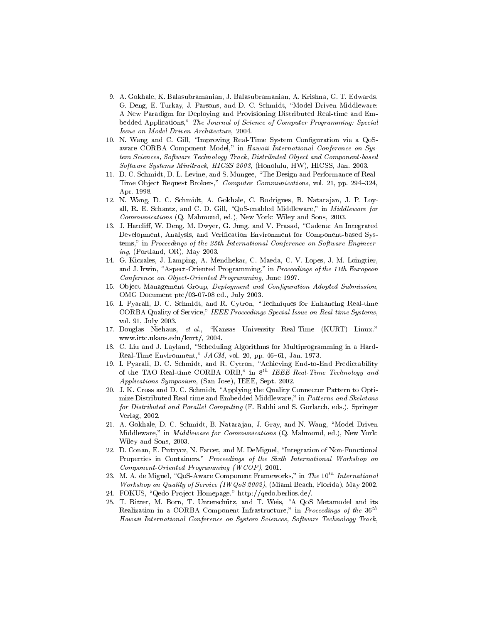- 9. A. Gokhale, K. Balasubramanian, J. Balasubramanian, A. Krishna, G. T. Edwards, G. Deng, E. Turkay, J. Parsons, and D. C. Schmidt, "Model Driven Middleware: A New Paradigm for Deploying and Provisioning Distributed Real-time and Embedded Applications," The Journal of Science of Computer Programming: Special Issue on Model Driven Architecture, 2004.
- 10. N. Wang and C. Gill, \Improving Real-Time System Conguration via a QoS aware CORBA Component Model," in Hawaii International Conference on System Sciences, Software Technology Track, Distributed Object and Component-based Software Systems Minitrack, HICSS 2003, (Honolulu, HW), HICSS, Jan. 2003.
- 11. D. C. Schmidt, D. L. Levine, and S. Mungee, \The Design and Performance of Real-Time Object Request Brokers," Computer Communications, vol. 21, pp. 294-324, Apr. 1998.
- 12. N. Wang, D. C. Schmidt, A. Gokhale, C. Rodrigues, B. Natara jan, J. P. Loyall, R. E. Schantz, and C. D. Gill, "QoS-enabled Middleware," in *Middleware for* Communications (Q. Mahmoud, ed.), New York: Wiley and Sons, 2003.
- 13. J. Hatcliff, W. Deng, M. Dwyer, G. Jung, and V. Prasad, "Cadena: An Integrated Development, Analysis, and Verification Environment for Component-based Systems," in Proceedings of the 25th International Conference on Software Engineering, (Portland, OR), May 2003.
- 14. G. Kiczales, J. Lamping, A. Mendhekar, C. Maeda, C. V. Lopes, J.-M. Loingtier, and J. Irwin, "Aspect-Oriented Programming," in Proceedings of the 11th European Conference on Object-Oriented Programming, June 1997.
- 15. Object Management Group, Deployment and Configuration Adopted Submission. OMG Document ptc/03-07-08 ed., July 2003.
- 16. I. Pyarali, D. C. Schmidt, and R. Cytron, \Techniques for Enhancing Real-time CORBA Quality of Service," IEEE Proceedings Special Issue on Real-time Systems, vol. 91, July 2003.
- 17. Douglas Niehaus, et al., "Kansas University Real-Time (KURT) Linux." www.ittc.ukans.edu/kurt/, 2004.
- 18. C. Liu and J. Layland, "Scheduling Algorithms for Multiprogramming in a Hard-Real-Time Environment,"  $JACM$ , vol. 20, pp. 46-61, Jan. 1973.
- 19. I. Pyarali, D. C. Schmidt, and R. Cytron, "Achieving End-to-End Predictability of the TAO Real-time CORBA ORB," in  $8$  " leed Real-Time Technology and Applications Symposium, (San Jose), IEEE, Sept. 2002.
- 20. J. K. Cross and D. C. Schmidt, \Applying the Quality Connector Pattern to Optimize Distributed Real-time and Embedded Middleware," in Patterns and Skeletons for Distributed and Parallel Computing (F. Rabhi and S. Gorlatch, eds.), Springer Verlag, 2002.
- 21. A. Gokhale, D. C. Schmidt, B. Natarajan, J. Gray, and N. Wang, "Model Driven Middleware," in *Middleware for Communications* (Q. Mahmoud, ed.), New York: Wiley and Sons, 2003.
- 22. D. Conan, E. Putrycz, N. Farcet, and M. DeMiguel, \Integration of Non-Functional Properties in Containers," Proceedings of the Sixth International Workshop on Component-Oriented Programming (WCOP), 2001.
- 23. M. A. de Miguel, "QoS-Aware Component Frameworks," in The  $10^{th}$  International Workshop on Quality of Service (IWQoS 2002), (Miami Beach, Florida), May 2002.
- 24. FOKUS, "Qedo Project Homepage." http://qedo.berlios.de/.
- 25. T. Ritter, M. Born, T. Unterschütz, and T. Weis, "A QoS Metamodel and its Realization in a CORBA Component Infrastructure," in Proceedings of the  $36^{th}$ Hawaii International Conference on System Sciences, Software Technology Track,